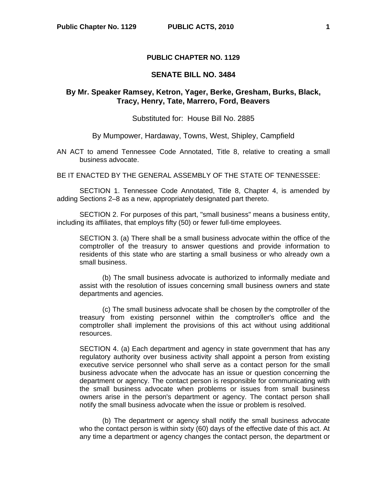## **PUBLIC CHAPTER NO. 1129**

## **SENATE BILL NO. 3484**

## **By Mr. Speaker Ramsey, Ketron, Yager, Berke, Gresham, Burks, Black, Tracy, Henry, Tate, Marrero, Ford, Beavers**

## Substituted for: House Bill No. 2885

By Mumpower, Hardaway, Towns, West, Shipley, Campfield

AN ACT to amend Tennessee Code Annotated, Title 8, relative to creating a small business advocate.

BE IT ENACTED BY THE GENERAL ASSEMBLY OF THE STATE OF TENNESSEE:

SECTION 1. Tennessee Code Annotated, Title 8, Chapter 4, is amended by adding Sections 2–8 as a new, appropriately designated part thereto.

SECTION 2. For purposes of this part, "small business" means a business entity, including its affiliates, that employs fifty (50) or fewer full-time employees.

SECTION 3. (a) There shall be a small business advocate within the office of the comptroller of the treasury to answer questions and provide information to residents of this state who are starting a small business or who already own a small business.

(b) The small business advocate is authorized to informally mediate and assist with the resolution of issues concerning small business owners and state departments and agencies.

(c) The small business advocate shall be chosen by the comptroller of the treasury from existing personnel within the comptroller's office and the comptroller shall implement the provisions of this act without using additional resources.

SECTION 4. (a) Each department and agency in state government that has any regulatory authority over business activity shall appoint a person from existing executive service personnel who shall serve as a contact person for the small business advocate when the advocate has an issue or question concerning the department or agency. The contact person is responsible for communicating with the small business advocate when problems or issues from small business owners arise in the person's department or agency. The contact person shall notify the small business advocate when the issue or problem is resolved.

(b) The department or agency shall notify the small business advocate who the contact person is within sixty (60) days of the effective date of this act. At any time a department or agency changes the contact person, the department or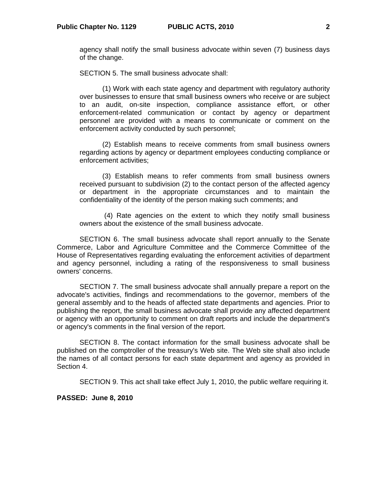agency shall notify the small business advocate within seven (7) business days of the change.

SECTION 5. The small business advocate shall:

(1) Work with each state agency and department with regulatory authority over businesses to ensure that small business owners who receive or are subject to an audit, on-site inspection, compliance assistance effort, or other enforcement-related communication or contact by agency or department personnel are provided with a means to communicate or comment on the enforcement activity conducted by such personnel;

(2) Establish means to receive comments from small business owners regarding actions by agency or department employees conducting compliance or enforcement activities;

(3) Establish means to refer comments from small business owners received pursuant to subdivision (2) to the contact person of the affected agency or department in the appropriate circumstances and to maintain the confidentiality of the identity of the person making such comments; and

 (4) Rate agencies on the extent to which they notify small business owners about the existence of the small business advocate.

SECTION 6. The small business advocate shall report annually to the Senate Commerce, Labor and Agriculture Committee and the Commerce Committee of the House of Representatives regarding evaluating the enforcement activities of department and agency personnel, including a rating of the responsiveness to small business owners' concerns.

SECTION 7. The small business advocate shall annually prepare a report on the advocate's activities, findings and recommendations to the governor, members of the general assembly and to the heads of affected state departments and agencies. Prior to publishing the report, the small business advocate shall provide any affected department or agency with an opportunity to comment on draft reports and include the department's or agency's comments in the final version of the report.

SECTION 8. The contact information for the small business advocate shall be published on the comptroller of the treasury's Web site. The Web site shall also include the names of all contact persons for each state department and agency as provided in Section 4.

SECTION 9. This act shall take effect July 1, 2010, the public welfare requiring it.

**PASSED: June 8, 2010**